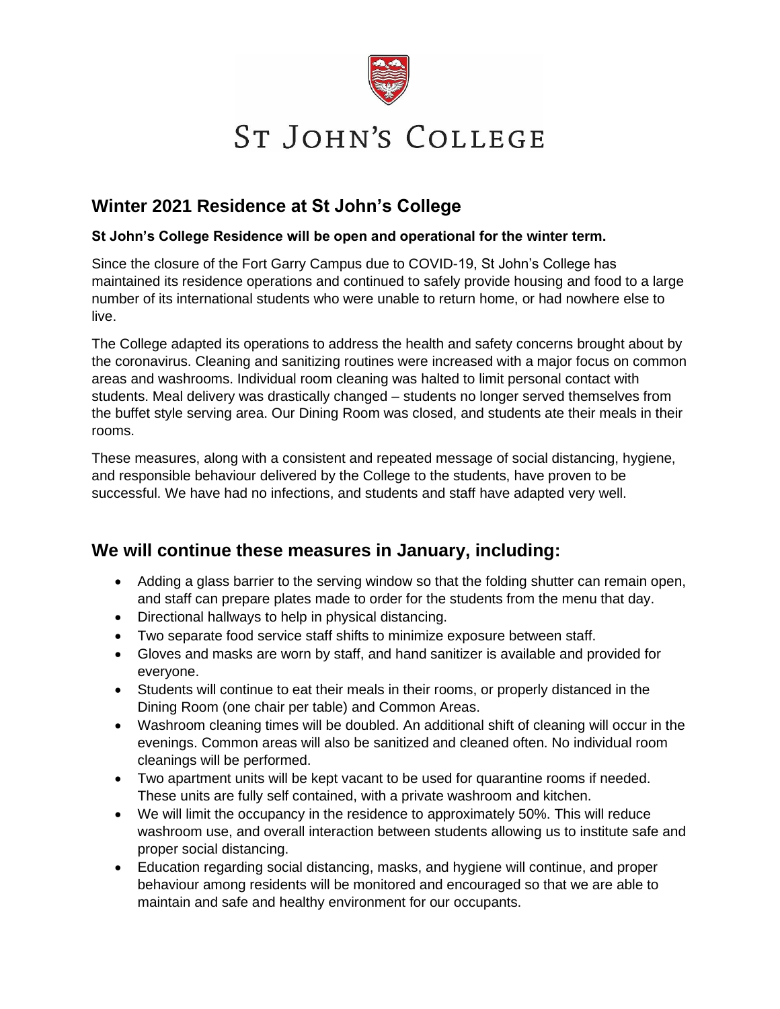

# **ST JOHN'S COLLEGE**

## **Winter 2021 Residence at St John's College**

#### **St John's College Residence will be open and operational for the winter term.**

Since the closure of the Fort Garry Campus due to COVID-19, St John's College has maintained its residence operations and continued to safely provide housing and food to a large number of its international students who were unable to return home, or had nowhere else to live.

The College adapted its operations to address the health and safety concerns brought about by the coronavirus. Cleaning and sanitizing routines were increased with a major focus on common areas and washrooms. Individual room cleaning was halted to limit personal contact with students. Meal delivery was drastically changed – students no longer served themselves from the buffet style serving area. Our Dining Room was closed, and students ate their meals in their rooms.

These measures, along with a consistent and repeated message of social distancing, hygiene, and responsible behaviour delivered by the College to the students, have proven to be successful. We have had no infections, and students and staff have adapted very well.

### **We will continue these measures in January, including:**

- Adding a glass barrier to the serving window so that the folding shutter can remain open, and staff can prepare plates made to order for the students from the menu that day.
- Directional hallways to help in physical distancing.
- Two separate food service staff shifts to minimize exposure between staff.
- Gloves and masks are worn by staff, and hand sanitizer is available and provided for everyone.
- Students will continue to eat their meals in their rooms, or properly distanced in the Dining Room (one chair per table) and Common Areas.
- Washroom cleaning times will be doubled. An additional shift of cleaning will occur in the evenings. Common areas will also be sanitized and cleaned often. No individual room cleanings will be performed.
- Two apartment units will be kept vacant to be used for quarantine rooms if needed. These units are fully self contained, with a private washroom and kitchen.
- We will limit the occupancy in the residence to approximately 50%. This will reduce washroom use, and overall interaction between students allowing us to institute safe and proper social distancing.
- Education regarding social distancing, masks, and hygiene will continue, and proper behaviour among residents will be monitored and encouraged so that we are able to maintain and safe and healthy environment for our occupants.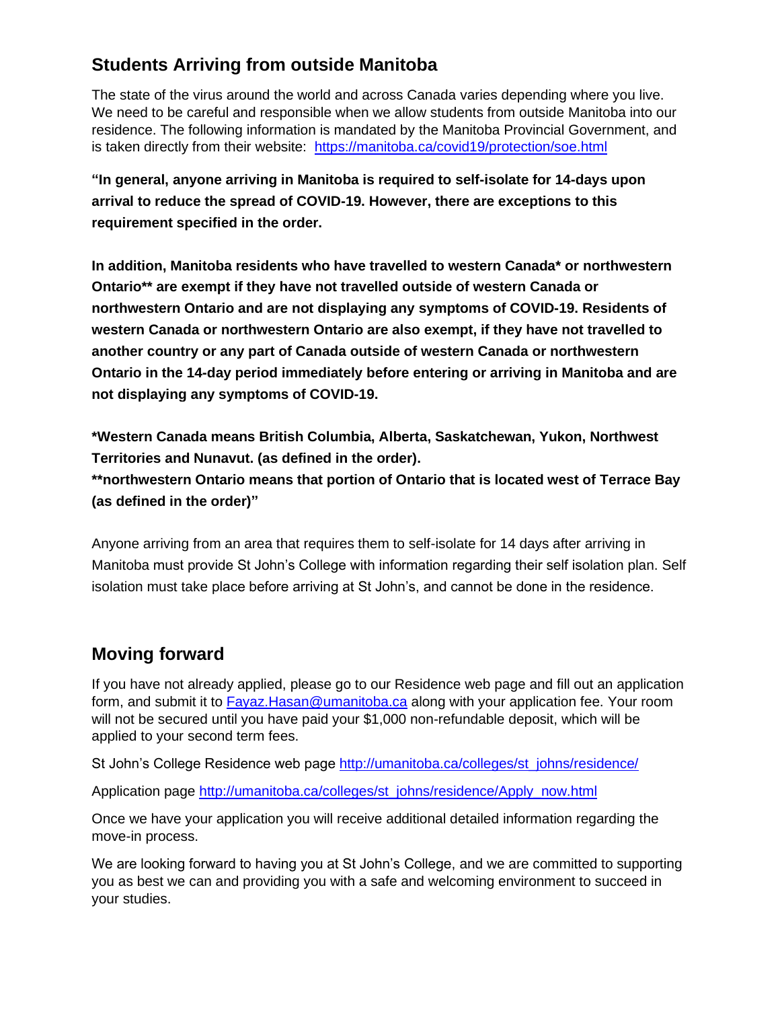# **Students Arriving from outside Manitoba**

The state of the virus around the world and across Canada varies depending where you live. We need to be careful and responsible when we allow students from outside Manitoba into our residence. The following information is mandated by the Manitoba Provincial Government, and is taken directly from their website: <https://manitoba.ca/covid19/protection/soe.html>

**"In general, anyone arriving in Manitoba is required to self-isolate for 14-days upon arrival to reduce the spread of COVID-19. However, there are exceptions to this requirement specified in the order.**

**In addition, Manitoba residents who have travelled to western Canada\* or northwestern Ontario\*\* are exempt if they have not travelled outside of western Canada or northwestern Ontario and are not displaying any [symptoms](http://www.manitoba.ca/covid19/about/index.html#collapse4) of COVID-19. Residents of western Canada or northwestern Ontario are also exempt, if they have not travelled to another country or any part of Canada outside of western Canada or northwestern Ontario in the 14-day period immediately before entering or arriving in Manitoba and are not displaying any symptoms of COVID-19.**

**\*Western Canada means British Columbia, Alberta, Saskatchewan, Yukon, Northwest Territories and Nunavut. (as defined in the order).**

**\*\*northwestern Ontario means that portion of Ontario that is located west of Terrace Bay (as defined in the order)"**

Anyone arriving from an area that requires them to self-isolate for 14 days after arriving in Manitoba must provide St John's College with information regarding their self isolation plan. Self isolation must take place before arriving at St John's, and cannot be done in the residence.

# **Moving forward**

If you have not already applied, please go to our Residence web page and fill out an application form, and submit it to **Fayaz.Hasan@umanitoba.ca** along with your application fee. Your room will not be secured until you have paid your \$1,000 non-refundable deposit, which will be applied to your second term fees.

St John's College Residence web page [http://umanitoba.ca/colleges/st\\_johns/residence/](http://umanitoba.ca/colleges/st_johns/residence/)

Application page [http://umanitoba.ca/colleges/st\\_johns/residence/Apply\\_now.html](http://umanitoba.ca/colleges/st_johns/residence/Apply_now.html)

Once we have your application you will receive additional detailed information regarding the move-in process.

We are looking forward to having you at St John's College, and we are committed to supporting you as best we can and providing you with a safe and welcoming environment to succeed in your studies.